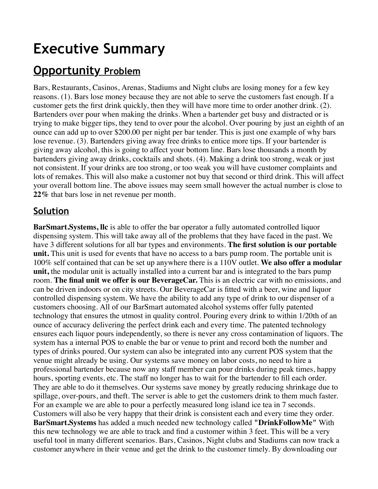# **Executive Summary**

# **Opportunity Problem**

Bars, Restaurants, Casinos, Arenas, Stadiums and Night clubs are losing money for a few key reasons. (1). Bars lose money because they are not able to serve the customers fast enough. If a customer gets the first drink quickly, then they will have more time to order another drink. (2). Bartenders over pour when making the drinks. When a bartender get busy and distracted or is trying to make bigger tips, they tend to over pour the alcohol. Over pouring by just an eighth of an ounce can add up to over \$200.00 per night per bar tender. This is just one example of why bars lose revenue. (3). Bartenders giving away free drinks to entice more tips. If your bartender is giving away alcohol, this is going to affect your bottom line. Bars lose thousands a month by bartenders giving away drinks, cocktails and shots. (4). Making a drink too strong, weak or just not consistent. If your drinks are too strong, or too weak you will have customer complaints and lots of remakes. This will also make a customer not buy that second or third drink. This will affect your overall bottom line. The above issues may seem small however the actual number is close to **22%** that bars lose in net revenue per month.

### **Solution**

**BarSmart.Systems, llc** is able to offer the bar operator a fully automated controlled liquor dispensing system. This will take away all of the problems that they have faced in the past. We have 3 different solutions for all bar types and environments. **The first solution is our portable unit.** This unit is used for events that have no access to a bars pump room. The portable unit is 100% self contained that can be set up anywhere there is a 110V outlet. **We also offer a modular unit,** the modular unit is actually installed into a current bar and is integrated to the bars pump room. **The final unit we offer is our BeverageCar.** This is an electric car with no emissions, and can be driven indoors or on city streets. Our BeverageCar is fitted with a beer, wine and liquor controlled dispensing system. We have the ability to add any type of drink to our dispenser of a customers choosing. All of our BarSmart automated alcohol systems offer fully patented technology that ensures the utmost in quality control. Pouring every drink to within 1/20th of an ounce of accuracy delivering the perfect drink each and every time. The patented technology ensures each liquor pours independently, so there is never any cross contamination of liquors. The system has a internal POS to enable the bar or venue to print and record both the number and types of drinks poured. Our system can also be integrated into any current POS system that the venue might already be using. Our systems save money on labor costs, no need to hire a professional bartender because now any staff member can pour drinks during peak times, happy hours, sporting events, etc. The staff no longer has to wait for the bartender to fill each order. They are able to do it themselves. Our systems save money by greatly reducing shrinkage due to spillage, over-pours, and theft. The server is able to get the customers drink to them much faster. For an example we are able to pour a perfectly measured long island ice tea in 7 seconds. Customers will also be very happy that their drink is consistent each and every time they order. **BarSmart.Systems** has added a much needed new technology called **"DrinkFollowMe"** With this new technology we are able to track and find a customer within 3 feet. This will be a very useful tool in many different scenarios. Bars, Casinos, Night clubs and Stadiums can now track a customer anywhere in their venue and get the drink to the customer timely. By downloading our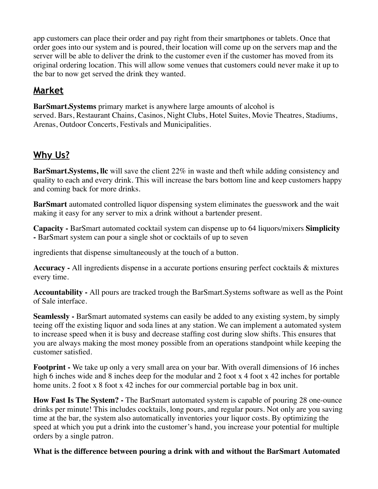app customers can place their order and pay right from their smartphones or tablets. Once that order goes into our system and is poured, their location will come up on the servers map and the server will be able to deliver the drink to the customer even if the customer has moved from its original ordering location. This will allow some venues that customers could never make it up to the bar to now get served the drink they wanted.

# **Market**

**BarSmart.Systems** primary market is anywhere large amounts of alcohol is served. Bars, Restaurant Chains, Casinos, Night Clubs, Hotel Suites, Movie Theatres, Stadiums, Arenas, Outdoor Concerts, Festivals and Municipalities.

# **Why Us?**

**BarSmart.Systems, llc** will save the client 22% in waste and theft while adding consistency and quality to each and every drink. This will increase the bars bottom line and keep customers happy and coming back for more drinks.

**BarSmart** automated controlled liquor dispensing system eliminates the guesswork and the wait making it easy for any server to mix a drink without a bartender present.

**Capacity -** BarSmart automated cocktail system can dispense up to 64 liquors/mixers **Simplicity -** BarSmart system can pour a single shot or cocktails of up to seven

ingredients that dispense simultaneously at the touch of a button.

**Accuracy -** All ingredients dispense in a accurate portions ensuring perfect cocktails & mixtures every time.

**Accountability -** All pours are tracked trough the BarSmart.Systems software as well as the Point of Sale interface.

**Seamlessly -** BarSmart automated systems can easily be added to any existing system, by simply teeing off the existing liquor and soda lines at any station. We can implement a automated system to increase speed when it is busy and decrease staffing cost during slow shifts. This ensures that you are always making the most money possible from an operations standpoint while keeping the customer satisfied.

**Footprint -** We take up only a very small area on your bar. With overall dimensions of 16 inches high 6 inches wide and 8 inches deep for the modular and 2 foot x 4 foot x 42 inches for portable home units. 2 foot x 8 foot x 42 inches for our commercial portable bag in box unit.

**How Fast Is The System? -** The BarSmart automated system is capable of pouring 28 one-ounce drinks per minute! This includes cocktails, long pours, and regular pours. Not only are you saving time at the bar, the system also automatically inventories your liquor costs. By optimizing the speed at which you put a drink into the customer's hand, you increase your potential for multiple orders by a single patron.

#### **What is the difference between pouring a drink with and without the BarSmart Automated**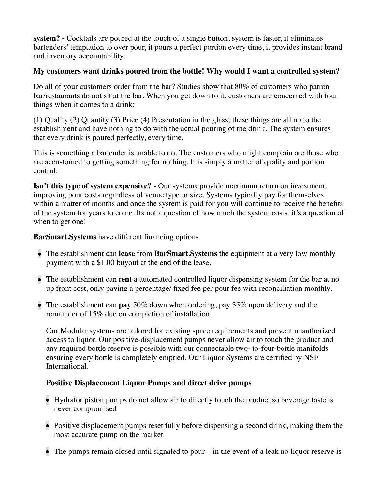**system? -** Cocktails are poured at the touch of a single button, system is faster, it eliminates bartenders' temptation to over pour, it pours a perfect portion every time, it provides instant brand and inventory accountability.

#### **My customers want drinks poured from the bottle! Why would I want a controlled system?**

Do all of your customers order from the bar? Studies show that 80% of customers who patron bar/restaurants do not sit at the bar. When you get down to it, customers are concerned with four things when it comes to a drink:

(1) Quality (2) Quantity (3) Price (4) Presentation in the glass; these things are all up to the establishment and have nothing to do with the actual pouring of the drink. The system ensures that every drink is poured perfectly, every time.

This is something a bartender is unable to do. The customers who might complain are those who are accustomed to getting something for nothing. It is simply a matter of quality and portion control.

**Isn't this type of system expensive?** - Our systems provide maximum return on investment, improving pour costs regardless of venue type or size. Systems typically pay for themselves within a matter of months and once the system is paid for you will continue to receive the benefits of the system for years to come. Its not a question of how much the system costs, it's a question of when to get one!

**BarSmart.Systems** have different financing options.

- The establishment can **lease** from **BarSmart.Systems** the equipment at a very low monthly payment with a \$1.00 buyout at the end of the lease.
- The establishment can r**ent** a automated controlled liquor dispensing system for the bar at no up front cost, only paying a percentage/ fixed fee per pour fee with reconciliation monthly.
- The establishment can **pay** 50% down when ordering, pay 35% upon delivery and the remainder of 15% due on completion of installation.

Our Modular systems are tailored for existing space requirements and prevent unauthorized access to liquor. Our positive-displacement pumps never allow air to touch the product and any required bottle reserve is possible with our connectable two- to-four-bottle manifolds ensuring every bottle is completely emptied. Our Liquor Systems are certified by NSF International.

#### **Positive Displacement Liquor Pumps and direct drive pumps**

- Hydrator piston pumps do not allow air to directly touch the product so beverage taste is never compromised
- Positive displacement pumps reset fully before dispensing a second drink, making them the most accurate pump on the market
- The pumps remain closed until signaled to pour in the event of a leak no liquor reserve is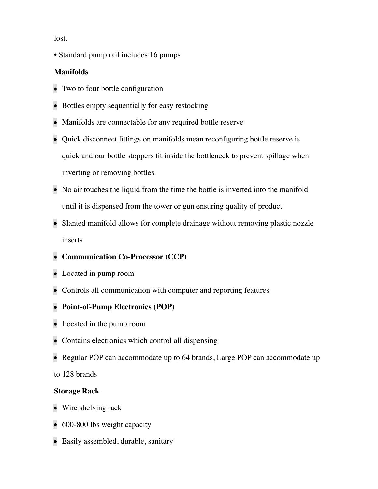lost.

• Standard pump rail includes 16 pumps

#### **Manifolds**

- Two to four bottle configuration
- Bottles empty sequentially for easy restocking
- Manifolds are connectable for any required bottle reserve
- Quick disconnect fittings on manifolds mean reconfiguring bottle reserve is quick and our bottle stoppers fit inside the bottleneck to prevent spillage when inverting or removing bottles
- No air touches the liquid from the time the bottle is inverted into the manifold until it is dispensed from the tower or gun ensuring quality of product
- Slanted manifold allows for complete drainage without removing plastic nozzle inserts
- **Communication Co-Processor (CCP)**
- Located in pump room
- Controls all communication with computer and reporting features

#### **Point-of-Pump Electronics (POP)**

- Located in the pump room
- Contains electronics which control all dispensing
- Regular POP can accommodate up to 64 brands, Large POP can accommodate up

to 128 brands

#### **Storage Rack**

- Wire shelving rack
- 600-800 lbs weight capacity
- Easily assembled, durable, sanitary